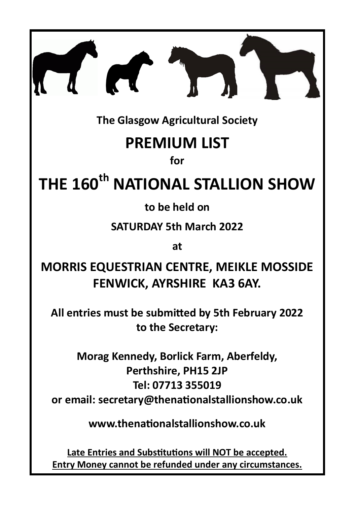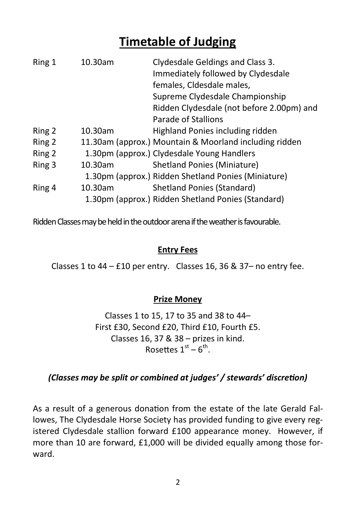# **Timetable of Judging**

| Ring 1 | 10.30am | Clydesdale Geldings and Class 3.                       |
|--------|---------|--------------------------------------------------------|
|        |         | Immediately followed by Clydesdale                     |
|        |         | females, Cldesdale males,                              |
|        |         | Supreme Clydesdale Championship                        |
|        |         | Ridden Clydesdale (not before 2.00pm) and              |
|        |         | Parade of Stallions                                    |
| Ring 2 | 10.30am | Highland Ponies including ridden                       |
| Ring 2 |         | 11.30am (approx.) Mountain & Moorland including ridden |
| Ring 2 |         | 1.30pm (approx.) Clydesdale Young Handlers             |
| Ring 3 | 10.30am | <b>Shetland Ponies (Miniature)</b>                     |
|        |         | 1.30pm (approx.) Ridden Shetland Ponies (Miniature)    |
| Ring 4 | 10.30am | <b>Shetland Ponies (Standard)</b>                      |
|        |         | 1.30pm (approx.) Ridden Shetland Ponies (Standard)     |

Ridden Classes may be held in the outdoor arena if the weather is favourable.

### **Entry Fees**

Classes 1 to 44 – £10 per entry. Classes 16, 36 & 37– no entry fee.

### **Prize Money**

Classes 1 to 15, 17 to 35 and 38 to 44– First £30, Second £20, Third £10, Fourth £5. Classes 16, 37 & 38 – prizes in kind. Rosettes  $1<sup>st</sup> - 6<sup>th</sup>$ .

### *(Classes may be split or combined at judges' / stewards' discretion)*

As a result of a generous donation from the estate of the late Gerald Fallowes, The Clydesdale Horse Society has provided funding to give every registered Clydesdale stallion forward £100 appearance money. However, if more than 10 are forward, £1,000 will be divided equally among those forward.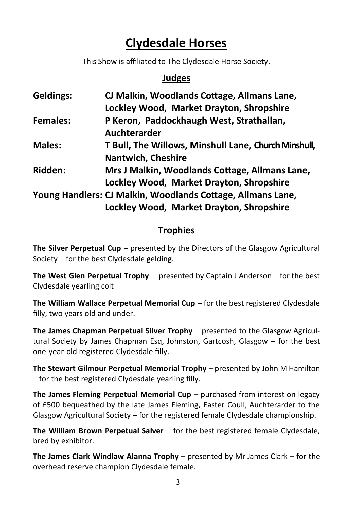# **Clydesdale Horses**

This Show is affiliated to The Clydesdale Horse Society.

### **Judges**

| <b>Geldings:</b> | CJ Malkin, Woodlands Cottage, Allmans Lane,                 |  |
|------------------|-------------------------------------------------------------|--|
|                  | Lockley Wood, Market Drayton, Shropshire                    |  |
| <b>Females:</b>  | P Keron, Paddockhaugh West, Strathallan,                    |  |
|                  | Auchterarder                                                |  |
| <b>Males:</b>    | T Bull, The Willows, Minshull Lane, Church Minshull,        |  |
|                  | <b>Nantwich, Cheshire</b>                                   |  |
| <b>Ridden:</b>   | Mrs J Malkin, Woodlands Cottage, Allmans Lane,              |  |
|                  | Lockley Wood, Market Drayton, Shropshire                    |  |
|                  | Young Handlers: CJ Malkin, Woodlands Cottage, Allmans Lane, |  |
|                  | Lockley Wood, Market Drayton, Shropshire                    |  |

# **Trophies**

**The Silver Perpetual Cup** – presented by the Directors of the Glasgow Agricultural Society – for the best Clydesdale gelding.

**The West Glen Perpetual Trophy**— presented by Captain J Anderson—for the best Clydesdale yearling colt

**The William Wallace Perpetual Memorial Cup** – for the best registered Clydesdale filly, two years old and under.

**The James Chapman Perpetual Silver Trophy** – presented to the Glasgow Agricultural Society by James Chapman Esq, Johnston, Gartcosh, Glasgow – for the best one-year-old registered Clydesdale filly.

**The Stewart Gilmour Perpetual Memorial Trophy** – presented by John M Hamilton – for the best registered Clydesdale yearling filly.

**The James Fleming Perpetual Memorial Cup** – purchased from interest on legacy of £500 bequeathed by the late James Fleming, Easter Coull, Auchterarder to the Glasgow Agricultural Society – for the registered female Clydesdale championship.

**The William Brown Perpetual Salver** – for the best registered female Clydesdale, bred by exhibitor.

**The James Clark Windlaw Alanna Trophy** – presented by Mr James Clark – for the overhead reserve champion Clydesdale female.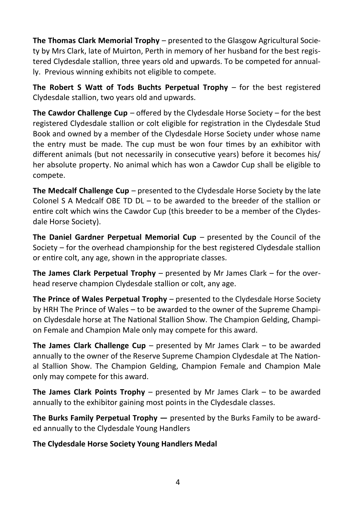**The Thomas Clark Memorial Trophy** – presented to the Glasgow Agricultural Society by Mrs Clark, late of Muirton, Perth in memory of her husband for the best registered Clydesdale stallion, three years old and upwards. To be competed for annually. Previous winning exhibits not eligible to compete.

**The Robert S Watt of Tods Buchts Perpetual Trophy – for the best registered** Clydesdale stallion, two years old and upwards.

**The Cawdor Challenge Cup** – offered by the Clydesdale Horse Society – for the best registered Clydesdale stallion or colt eligible for registration in the Clydesdale Stud Book and owned by a member of the Clydesdale Horse Society under whose name the entry must be made. The cup must be won four times by an exhibitor with different animals (but not necessarily in consecutive years) before it becomes his/ her absolute property. No animal which has won a Cawdor Cup shall be eligible to compete.

**The Medcalf Challenge Cup** – presented to the Clydesdale Horse Society by the late Colonel S A Medcalf OBE TD DL – to be awarded to the breeder of the stallion or entire colt which wins the Cawdor Cup (this breeder to be a member of the Clydesdale Horse Society).

**The Daniel Gardner Perpetual Memorial Cup – presented by the Council of the** Society – for the overhead championship for the best registered Clydesdale stallion or entire colt, any age, shown in the appropriate classes.

**The James Clark Perpetual Trophy** – presented by Mr James Clark – for the overhead reserve champion Clydesdale stallion or colt, any age.

**The Prince of Wales Perpetual Trophy** – presented to the Clydesdale Horse Society by HRH The Prince of Wales – to be awarded to the owner of the Supreme Champion Clydesdale horse at The National Stallion Show. The Champion Gelding, Champion Female and Champion Male only may compete for this award.

**The James Clark Challenge Cup** – presented by Mr James Clark – to be awarded annually to the owner of the Reserve Supreme Champion Clydesdale at The National Stallion Show. The Champion Gelding, Champion Female and Champion Male only may compete for this award.

**The James Clark Points Trophy** – presented by Mr James Clark – to be awarded annually to the exhibitor gaining most points in the Clydesdale classes.

**The Burks Family Perpetual Trophy —** presented by the Burks Family to be awarded annually to the Clydesdale Young Handlers

**The Clydesdale Horse Society Young Handlers Medal**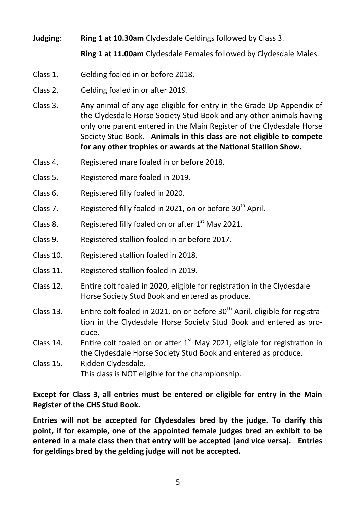### **Judging**: **Ring 1 at 10.30am** Clydesdale Geldings followed by Class 3.

**Ring 1 at 11.00am** Clydesdale Females followed by Clydesdale Males.

- Class 1. Gelding foaled in or before 2018.
- Class 2. Gelding foaled in or after 2019.
- Class 3. Any animal of any age eligible for entry in the Grade Up Appendix of the Clydesdale Horse Society Stud Book and any other animals having only one parent entered in the Main Register of the Clydesdale Horse Society Stud Book. **Animals in this class are not eligible to compete for any other trophies or awards at the National Stallion Show.**
- Class 4. Registered mare foaled in or before 2018.
- Class 5. Registered mare foaled in 2019.
- Class 6. Registered filly foaled in 2020.
- Class 7. Registered filly foaled in 2021, on or before  $30<sup>th</sup>$  April.
- Class 8. Registered filly foaled on or after  $1<sup>st</sup>$  May 2021.
- Class 9. Registered stallion foaled in or before 2017.
- Class 10. Registered stallion foaled in 2018.
- Class 11. Registered stallion foaled in 2019.
- Class 12. Entire colt foaled in 2020, eligible for registration in the Clydesdale Horse Society Stud Book and entered as produce.
- $Class 13.$  Entire colt foaled in 2021, on or before  $30<sup>th</sup>$  April, eligible for registration in the Clydesdale Horse Society Stud Book and entered as produce.
- Class 14. Entire colt foaled on or after  $1<sup>st</sup>$  May 2021, eligible for registration in the Clydesdale Horse Society Stud Book and entered as produce.
- Class 15. Ridden Clydesdale. This class is NOT eligible for the championship.

**Except for Class 3, all entries must be entered or eligible for entry in the Main Register of the CHS Stud Book.**

**Entries will not be accepted for Clydesdales bred by the judge. To clarify this point, if for example, one of the appointed female judges bred an exhibit to be entered in a male class then that entry will be accepted (and vice versa). Entries for geldings bred by the gelding judge will not be accepted.**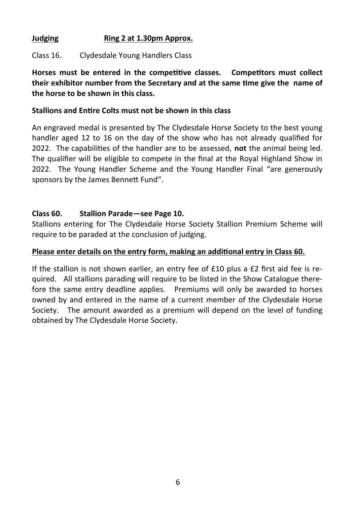### **Judging Ring 2 at 1.30pm Approx.**

Class 16. Clydesdale Young Handlers Class

**Horses must be entered in the competitive classes. Competitors must collect their exhibitor number from the Secretary and at the same time give the name of the horse to be shown in this class.**

#### **Stallions and Entire Colts must not be shown in this class**

An engraved medal is presented by The Clydesdale Horse Society to the best young handler aged 12 to 16 on the day of the show who has not already qualified for 2022. The capabilities of the handler are to be assessed, **not** the animal being led. The qualifier will be eligible to compete in the final at the Royal Highland Show in 2022. The Young Handler Scheme and the Young Handler Final "are generously sponsors by the James Bennett Fund".

### **Class 60. Stallion Parade—see Page 10.**

Stallions entering for The Clydesdale Horse Society Stallion Premium Scheme will require to be paraded at the conclusion of judging.

### **Please enter details on the entry form, making an additional entry in Class 60.**

If the stallion is not shown earlier, an entry fee of £10 plus a £2 first aid fee is required. All stallions parading will require to be listed in the Show Catalogue therefore the same entry deadline applies. Premiums will only be awarded to horses owned by and entered in the name of a current member of the Clydesdale Horse Society. The amount awarded as a premium will depend on the level of funding obtained by The Clydesdale Horse Society.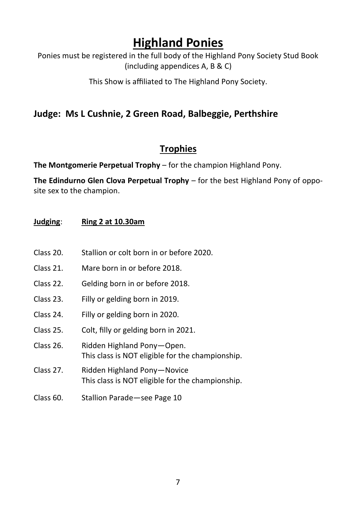# **Highland Ponies**

Ponies must be registered in the full body of the Highland Pony Society Stud Book (including appendices A, B & C)

This Show is affiliated to The Highland Pony Society.

## **Judge: Ms L Cushnie, 2 Green Road, Balbeggie, Perthshire**

## **Trophies**

**The Montgomerie Perpetual Trophy** – for the champion Highland Pony.

**The Edindurno Glen Clova Perpetual Trophy** – for the best Highland Pony of opposite sex to the champion.

### **Judging**: **Ring 2 at 10.30am**

- Class 20. Stallion or colt born in or before 2020.
- Class 21. Mare born in or before 2018.
- Class 22. Gelding born in or before 2018.
- Class 23. Filly or gelding born in 2019.
- Class 24. Filly or gelding born in 2020.
- Class 25. Colt, filly or gelding born in 2021.
- Class 26. Ridden Highland Pony—Open. This class is NOT eligible for the championship.
- Class 27. Ridden Highland Pony—Novice This class is NOT eligible for the championship.
- Class 60. Stallion Parade—see Page 10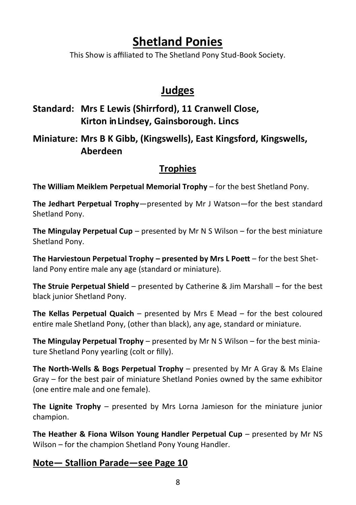# **Shetland Ponies**

This Show is affiliated to The Shetland Pony Stud-Book Society.

# **Judges**

## **Standard: Mrs E Lewis (Shirrford), 11 Cranwell Close, Kirton in Lindsey, Gainsborough. Lincs**

## **Miniature: Mrs B K Gibb, (Kingswells), East Kingsford, Kingswells, Aberdeen**

## **Trophies**

**The William Meiklem Perpetual Memorial Trophy** – for the best Shetland Pony.

**The Jedhart Perpetual Trophy**—presented by Mr J Watson—for the best standard Shetland Pony.

**The Mingulay Perpetual Cup** – presented by Mr N S Wilson – for the best miniature Shetland Pony.

**The Harviestoun Perpetual Trophy – presented by Mrs L Poett** – for the best Shetland Pony entire male any age (standard or miniature).

**The Struie Perpetual Shield** – presented by Catherine & Jim Marshall – for the best black junior Shetland Pony.

**The Kellas Perpetual Quaich** – presented by Mrs E Mead – for the best coloured entire male Shetland Pony, (other than black), any age, standard or miniature.

**The Mingulay Perpetual Trophy** – presented by Mr N S Wilson – for the best miniature Shetland Pony yearling (colt or filly).

**The North-Wells & Bogs Perpetual Trophy** – presented by Mr A Gray & Ms Elaine Gray – for the best pair of miniature Shetland Ponies owned by the same exhibitor (one entire male and one female).

**The Lignite Trophy** – presented by Mrs Lorna Jamieson for the miniature junior champion.

**The Heather & Fiona Wilson Young Handler Perpetual Cup** – presented by Mr NS Wilson – for the champion Shetland Pony Young Handler.

### **Note— Stallion Parade—see Page 10**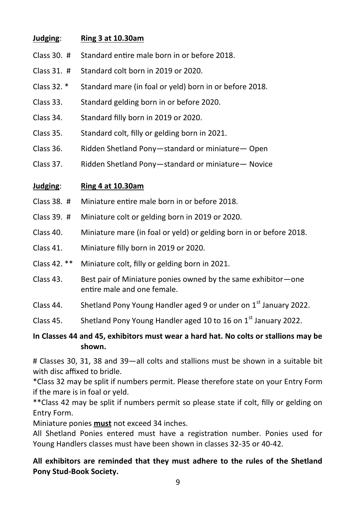### **Judging**: **Ring 3 at 10.30am**

- Class 30. # Standard entire male born in or before 2018.
- Class 31. # Standard colt born in 2019 or 2020.
- Class 32. \* Standard mare (in foal or yeld) born in or before 2018.
- Class 33. Standard gelding born in or before 2020.
- Class 34. Standard filly born in 2019 or 2020.
- Class 35. Standard colt, filly or gelding born in 2021.
- Class 36. Ridden Shetland Pony—standard or miniature— Open
- Class 37. Ridden Shetland Pony—standard or miniature— Novice

### **Judging**: **Ring 4 at 10.30am**

- Class 38. # Miniature entire male born in or before 2018.
- Class 39. # Miniature colt or gelding born in 2019 or 2020.
- Class 40. Miniature mare (in foal or yeld) or gelding born in or before 2018.
- Class 41. Miniature filly born in 2019 or 2020.
- Class 42. \*\* Miniature colt, filly or gelding born in 2021.
- Class 43. Best pair of Miniature ponies owned by the same exhibitor—one entire male and one female.
- Class 44. Shetland Pony Young Handler aged 9 or under on  $1<sup>st</sup>$  January 2022.
- Class 45. Shetland Pony Young Handler aged 10 to 16 on  $1<sup>st</sup>$  January 2022.

### **In Classes 44 and 45, exhibitors must wear a hard hat. No colts or stallions may be shown.**

# Classes 30, 31, 38 and 39—all colts and stallions must be shown in a suitable bit with disc affixed to bridle.

\*Class 32 may be split if numbers permit. Please therefore state on your Entry Form if the mare is in foal or yeld.

\*\*Class 42 may be split if numbers permit so please state if colt, filly or gelding on Entry Form.

Miniature ponies **must** not exceed 34 inches.

All Shetland Ponies entered must have a registration number. Ponies used for Young Handlers classes must have been shown in classes 32-35 or 40-42.

**All exhibitors are reminded that they must adhere to the rules of the Shetland Pony Stud-Book Society.**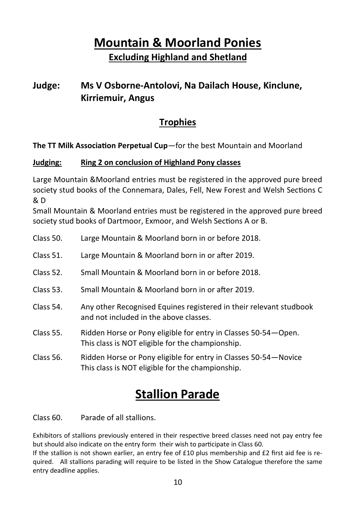# **Mountain & Moorland Ponies Excluding Highland and Shetland**

## **Judge: Ms V Osborne-Antolovi, Na Dailach House, Kinclune, Kirriemuir, Angus**

## **Trophies**

**The TT Milk Association Perpetual Cup**—for the best Mountain and Moorland

### **Judging: Ring 2 on conclusion of Highland Pony classes**

Large Mountain &Moorland entries must be registered in the approved pure breed society stud books of the Connemara, Dales, Fell, New Forest and Welsh Sections C  $R \nD$ 

Small Mountain & Moorland entries must be registered in the approved pure breed society stud books of Dartmoor, Exmoor, and Welsh Sections A or B.

Class 50. Large Mountain & Moorland born in or before 2018. Class 51. Large Mountain & Moorland born in or after 2019. Class 52. Small Mountain & Moorland born in or before 2018. Class 53. Small Mountain & Moorland born in or after 2019. Class 54. Any other Recognised Equines registered in their relevant studbook and not included in the above classes. Class 55. Ridden Horse or Pony eligible for entry in Classes 50-54—Open. This class is NOT eligible for the championship. Class 56. Ridden Horse or Pony eligible for entry in Classes 50-54—Novice This class is NOT eligible for the championship.

# **Stallion Parade**

Class 60. Parade of all stallions.

Exhibitors of stallions previously entered in their respective breed classes need not pay entry fee but should also indicate on the entry form their wish to participate in Class 60.

If the stallion is not shown earlier, an entry fee of £10 plus membership and £2 first aid fee is required. All stallions parading will require to be listed in the Show Catalogue therefore the same entry deadline applies.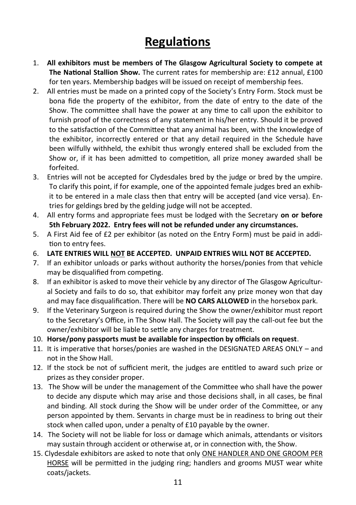# **Regulations**

- 1. **All exhibitors must be members of The Glasgow Agricultural Society to compete at The National Stallion Show.** The current rates for membership are: £12 annual, £100 for ten years. Membership badges will be issued on receipt of membership fees.
- 2. All entries must be made on a printed copy of the Society's Entry Form. Stock must be bona fide the property of the exhibitor, from the date of entry to the date of the Show. The committee shall have the power at any time to call upon the exhibitor to furnish proof of the correctness of any statement in his/her entry. Should it be proved to the satisfaction of the Committee that any animal has been, with the knowledge of the exhibitor, incorrectly entered or that any detail required in the Schedule have been wilfully withheld, the exhibit thus wrongly entered shall be excluded from the Show or, if it has been admitted to competition, all prize money awarded shall be forfeited.
- 3. Entries will not be accepted for Clydesdales bred by the judge or bred by the umpire. To clarify this point, if for example, one of the appointed female judges bred an exhibit to be entered in a male class then that entry will be accepted (and vice versa). Entries for geldings bred by the gelding judge will not be accepted.
- 4. All entry forms and appropriate fees must be lodged with the Secretary **on or before 5th February 2022. Entry fees will not be refunded under any circumstances.**
- 5. A First Aid fee of £2 per exhibitor (as noted on the Entry Form) must be paid in addition to entry fees.
- 6. **LATE ENTRIES WILL NOT BE ACCEPTED. UNPAID ENTRIES WILL NOT BE ACCEPTED.**
- 7. If an exhibitor unloads or parks without authority the horses/ponies from that vehicle may be disqualified from competing.
- 8. If an exhibitor is asked to move their vehicle by any director of The Glasgow Agricultural Society and fails to do so, that exhibitor may forfeit any prize money won that day and may face disqualification. There will be **NO CARS ALLOWED** in the horsebox park.
- 9. If the Veterinary Surgeon is required during the Show the owner/exhibitor must report to the Secretary's Office, in The Show Hall. The Society will pay the call-out fee but the owner/exhibitor will be liable to settle any charges for treatment.
- 10. **Horse/pony passports must be available for inspection by officials on request**.
- 11. It is imperative that horses/ponies are washed in the DESIGNATED AREAS ONLY and not in the Show Hall.
- 12. If the stock be not of sufficient merit, the judges are entitled to award such prize or prizes as they consider proper.
- 13. The Show will be under the management of the Committee who shall have the power to decide any dispute which may arise and those decisions shall, in all cases, be final and binding. All stock during the Show will be under order of the Committee, or any person appointed by them. Servants in charge must be in readiness to bring out their stock when called upon, under a penalty of £10 payable by the owner.
- 14. The Society will not be liable for loss or damage which animals, attendants or visitors may sustain through accident or otherwise at, or in connection with, the Show.
- 15. Clydesdale exhibitors are asked to note that only ONE HANDLER AND ONE GROOM PER HORSE will be permitted in the judging ring; handlers and grooms MUST wear white coats/jackets.